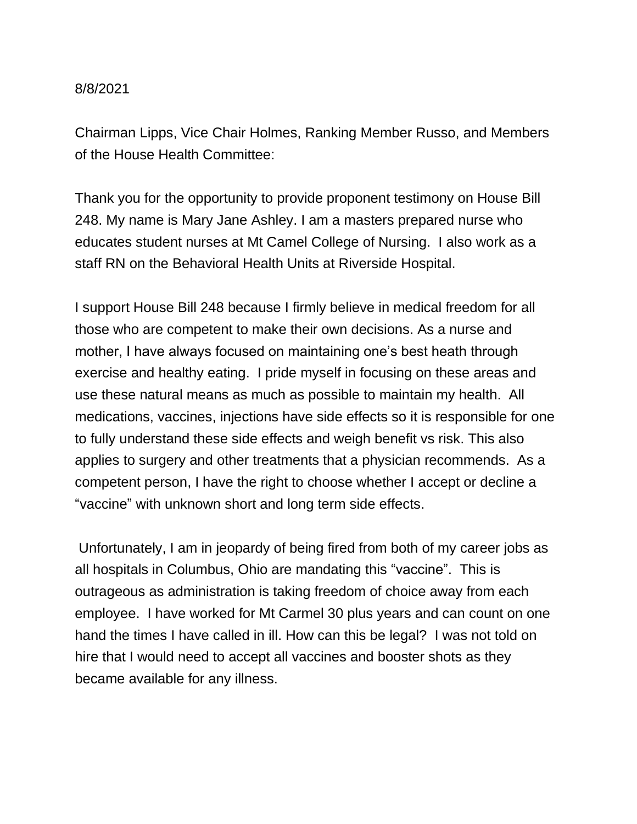## 8/8/2021

Chairman Lipps, Vice Chair Holmes, Ranking Member Russo, and Members of the House Health Committee:

Thank you for the opportunity to provide proponent testimony on House Bill 248. My name is Mary Jane Ashley. I am a masters prepared nurse who educates student nurses at Mt Camel College of Nursing. I also work as a staff RN on the Behavioral Health Units at Riverside Hospital.

I support House Bill 248 because I firmly believe in medical freedom for all those who are competent to make their own decisions. As a nurse and mother, I have always focused on maintaining one's best heath through exercise and healthy eating. I pride myself in focusing on these areas and use these natural means as much as possible to maintain my health. All medications, vaccines, injections have side effects so it is responsible for one to fully understand these side effects and weigh benefit vs risk. This also applies to surgery and other treatments that a physician recommends. As a competent person, I have the right to choose whether I accept or decline a "vaccine" with unknown short and long term side effects.

Unfortunately, I am in jeopardy of being fired from both of my career jobs as all hospitals in Columbus, Ohio are mandating this "vaccine". This is outrageous as administration is taking freedom of choice away from each employee. I have worked for Mt Carmel 30 plus years and can count on one hand the times I have called in ill. How can this be legal? I was not told on hire that I would need to accept all vaccines and booster shots as they became available for any illness.